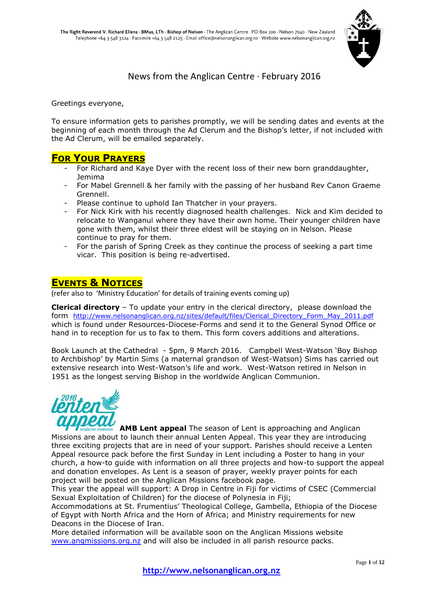

News from the Anglican Centre · February 2016

Greetings everyone,

To ensure information gets to parishes promptly, we will be sending dates and events at the beginning of each month through the Ad Clerum and the Bishop's letter, if not included with the Ad Clerum, will be emailed separately.

# **FOR YOUR PRAYERS**

- For Richard and Kaye Dyer with the recent loss of their new born granddaughter, Jemima
- For Mabel Grennell & her family with the passing of her husband Rev Canon Graeme Grennell.
- Please continue to uphold Ian Thatcher in your prayers.
- For Nick Kirk with his recently diagnosed health challenges. Nick and Kim decided to relocate to Wanganui where they have their own home. Their younger children have gone with them, whilst their three eldest will be staying on in Nelson. Please continue to pray for them.
- For the parish of Spring Creek as they continue the process of seeking a part time vicar. This position is being re-advertised.

# **EVENTS & NOTICES**

(refer also to 'Ministry Education' for details of training events coming up)

**Clerical directory** – To update your entry in the clerical directory, please download the form http://www.nelsonanglican.org.nz/sites/default/files/Clerical Directory Form May 2011.pdf which is found under Resources-Diocese-Forms and send it to the General Synod Office or hand in to reception for us to fax to them. This form covers additions and alterations.

Book Launch at the Cathedral - 5pm, 9 March 2016. Campbell West-Watson 'Boy Bishop to Archbishop' by Martin Sims (a maternal grandson of West-Watson) Sims has carried out extensive research into West-Watson's life and work. West-Watson retired in Nelson in 1951 as the longest serving Bishop in the worldwide Anglican Communion.



**AMB Lent appeal** The season of Lent is approaching and Anglican Missions are about to launch their annual Lenten Appeal. This year they are introducing three exciting projects that are in need of your support. Parishes should receive a Lenten Appeal resource pack before the first Sunday in Lent including a Poster to hang in your church, a how-to guide with information on all three projects and how-to support the appeal and donation envelopes. As Lent is a season of prayer, weekly prayer points for each project will be posted on the Anglican Missions facebook page.

This year the appeal will support: A Drop in Centre in Fiji for victims of CSEC (Commercial Sexual Exploitation of Children) for the diocese of Polynesia in Fiji;

Accommodations at St. Frumentius' Theological College, Gambella, Ethiopia of the Diocese of Egypt with North Africa and the Horn of Africa; and Ministry requirements for new Deacons in the Diocese of Iran.

More detailed information will be available soon on the Anglican Missions website [www.angmissions.org.nz](http://www.angmissions.org.nz/) and will also be included in all parish resource packs.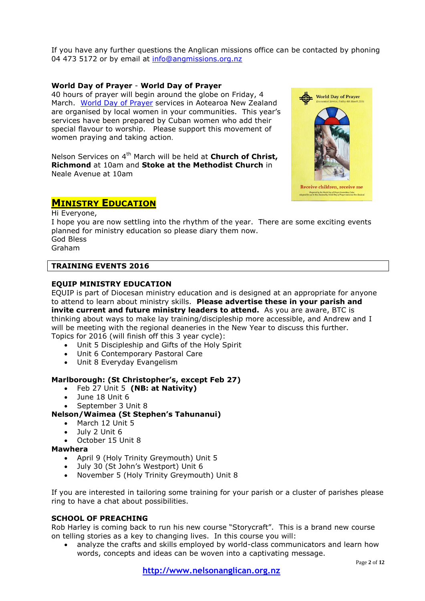If you have any further questions the Anglican missions office can be contacted by phoning 04 473 5172 or by email at [info@angmissions.org.nz](mailto:info@angmissions.org.nz)

## **World Day of Prayer** - **World Day of Prayer**

40 hours of prayer will begin around the globe on Friday, 4 March. [World Day of Prayer](file://///server/UserShares/Reception/worlddayofprayer.co.nz) services in Aotearoa New Zealand are organised by local women in your communities. This year's services have been prepared by Cuban women who add their special flavour to worship. Please support this movement of women praying and taking action.

Nelson Services on 4<sup>th</sup> March will be held at **Church of Christ. Richmond** at 10am and **Stoke at the Methodist Church** in Neale Avenue at 10am

# **MINISTRY EDUCATION**

Hi Everyone, I hope you are now settling into the rhythm of the year. There are some exciting events planned for ministry education so please diary them now.

God Bless Graham

## **TRAINING EVENTS 2016**

### **EQUIP MINISTRY EDUCATION**

EQUIP is part of Diocesan ministry education and is designed at an appropriate for anyone to attend to learn about ministry skills. **Please advertise these in your parish and invite current and future ministry leaders to attend.** As you are aware, BTC is thinking about ways to make lay training/discipleship more accessible, and Andrew and I will be meeting with the regional deaneries in the New Year to discuss this further. Topics for 2016 (will finish off this 3 year cycle):

- Unit 5 Discipleship and Gifts of the Holy Spirit
- Unit 6 Contemporary Pastoral Care
- Unit 8 Everyday Evangelism

## **Marlborough: (St Christopher's, except Feb 27)**

- Feb 27 Unit 5 **(NB: at Nativity)**
- June 18 Unit 6
- September 3 Unit 8

# **Nelson/Waimea (St Stephen's Tahunanui)**

- March 12 Unit 5
- July 2 Unit 6
- October 15 Unit 8

### **Mawhera**

- April 9 (Holy Trinity Greymouth) Unit 5
- July 30 (St John's Westport) Unit 6
- November 5 (Holy Trinity Greymouth) Unit 8

If you are interested in tailoring some training for your parish or a cluster of parishes please ring to have a chat about possibilities.

### **SCHOOL OF PREACHING**

Rob Harley is coming back to run his new course "Storycraft". This is a brand new course on telling stories as a key to changing lives. In this course you will:

 analyze the crafts and skills employed by world-class communicators and learn how words, concepts and ideas can be woven into a captivating message.

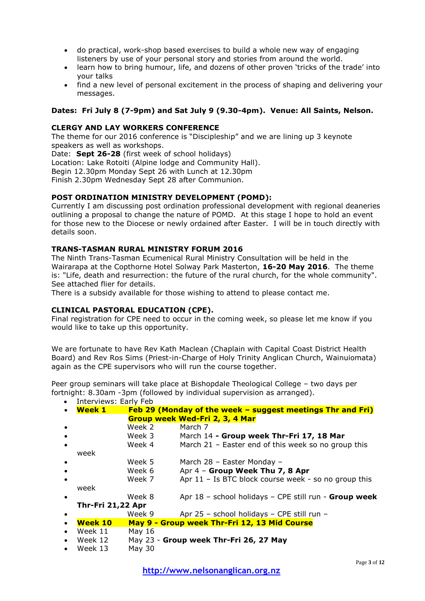- do practical, work-shop based exercises to build a whole new way of engaging listeners by use of your personal story and stories from around the world.
- learn how to bring humour, life, and dozens of other proven 'tricks of the trade' into your talks
- find a new level of personal excitement in the process of shaping and delivering your messages.

# **Dates: Fri July 8 (7-9pm) and Sat July 9 (9.30-4pm). Venue: All Saints, Nelson.**

## **CLERGY AND LAY WORKERS CONFERENCE**

The theme for our 2016 conference is "Discipleship" and we are lining up 3 keynote speakers as well as workshops.

Date: **Sept 26-28** (first week of school holidays) Location: Lake Rotoiti (Alpine lodge and Community Hall). Begin 12.30pm Monday Sept 26 with Lunch at 12.30pm Finish 2.30pm Wednesday Sept 28 after Communion.

## **POST ORDINATION MINISTRY DEVELOPMENT (POMD):**

Currently I am discussing post ordination professional development with regional deaneries outlining a proposal to change the nature of POMD. At this stage I hope to hold an event for those new to the Diocese or newly ordained after Easter. I will be in touch directly with details soon.

### **TRANS-TASMAN RURAL MINISTRY FORUM 2016**

The Ninth Trans-Tasman Ecumenical Rural Ministry Consultation will be held in the Wairarapa at the Copthorne Hotel Solway Park Masterton, **16-20 May 2016**. The theme is: "Life, death and resurrection: the future of the rural church, for the whole community". See attached flier for details.

There is a subsidy available for those wishing to attend to please contact me.

### **CLINICAL PASTORAL EDUCATION (CPE).**

Final registration for CPE need to occur in the coming week, so please let me know if you would like to take up this opportunity.

We are fortunate to have Rev Kath Maclean (Chaplain with Capital Coast District Health Board) and Rev Ros Sims (Priest-in-Charge of Holy Trinity Anglican Church, Wainuiomata) again as the CPE supervisors who will run the course together.

Peer group seminars will take place at Bishopdale Theological College – two days per fortnight: 8.30am -3pm (followed by individual supervision as arranged).

| $\bullet$ | Interviews: Early Feb                             |                                              |                                                            |  |  |  |
|-----------|---------------------------------------------------|----------------------------------------------|------------------------------------------------------------|--|--|--|
|           | <b>Week 1</b>                                     |                                              | Feb 29 (Monday of the week – suggest meetings Thr and Fri) |  |  |  |
|           | Group week Wed-Fri 2, 3, 4 Mar                    |                                              |                                                            |  |  |  |
|           |                                                   | Week 2                                       | March 7                                                    |  |  |  |
|           |                                                   | Week 3                                       | March 14 - Group week Thr-Fri 17, 18 Mar                   |  |  |  |
| $\bullet$ |                                                   | Week 4                                       | March 21 - Easter end of this week so no group this        |  |  |  |
|           | week                                              |                                              |                                                            |  |  |  |
|           |                                                   | Week 5                                       | March 28 - Easter Monday -                                 |  |  |  |
|           |                                                   | Week 6                                       | Apr 4 - Group Week Thu 7, 8 Apr                            |  |  |  |
|           |                                                   | Week 7                                       | Apr 11 - Is BTC block course week - so no group this       |  |  |  |
|           | week                                              |                                              |                                                            |  |  |  |
| $\bullet$ |                                                   | Week 8                                       | Apr 18 - school holidays - CPE still run - Group week      |  |  |  |
|           | <b>Thr-Fri 21,22 Apr</b>                          |                                              |                                                            |  |  |  |
|           |                                                   | Week 9                                       | Apr 25 - school holidays - CPE still run -                 |  |  |  |
| $\bullet$ | <b>Week 10</b>                                    | May 9 - Group week Thr-Fri 12, 13 Mid Course |                                                            |  |  |  |
|           | Week 11                                           | May 16                                       |                                                            |  |  |  |
| $\bullet$ | May 23 - Group week Thr-Fri 26, 27 May<br>Week 12 |                                              |                                                            |  |  |  |
| $\bullet$ | Week 13                                           | <b>May 30</b>                                |                                                            |  |  |  |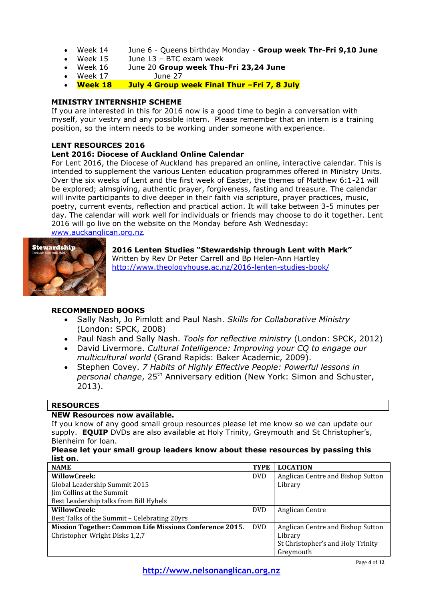- Week 14 June 6 Queens birthday Monday **Group week Thr-Fri 9,10 June**
- Week 15 June 13 BTC exam week
- Week 16 June 20 **Group week Thu-Fri 23,24 June**
- Week 17 June 27
- **Week 18 July 4 Group week Final Thur –Fri 7, 8 July**

## **MINISTRY INTERNSHIP SCHEME**

If you are interested in this for 2016 now is a good time to begin a conversation with myself, your vestry and any possible intern. Please remember that an intern is a training position, so the intern needs to be working under someone with experience.

## **LENT RESOURCES 2016**

# **Lent 2016: Diocese of Auckland Online Calendar**

For Lent 2016, the Diocese of Auckland has prepared an online, interactive calendar. This is intended to supplement the various Lenten education programmes offered in Ministry Units. Over the six weeks of Lent and the first week of Easter, the themes of Matthew 6:1-21 will be explored; almsgiving, authentic prayer, forgiveness, fasting and treasure. The calendar will invite participants to dive deeper in their faith via scripture, prayer practices, music, poetry, current events, reflection and practical action. It will take between 3-5 minutes per day. The calendar will work well for individuals or friends may choose to do it together. Lent 2016 will go live on the website on the Monday before Ash Wednesday:

[www.auckanglican.org.nz](http://www.auckanglican.org.nz/).



**2016 Lenten Studies "Stewardship through Lent with Mark"** Written by Rev Dr Peter Carrell and Bp Helen-Ann Hartley <http://www.theologyhouse.ac.nz/2016-lenten-studies-book/>

# **RECOMMENDED BOOKS**

- Sally Nash, Jo Pimlott and Paul Nash. *Skills for Collaborative Ministry* (London: SPCK, 2008)
- Paul Nash and Sally Nash. *Tools for reflective ministry* (London: SPCK, 2012)
- David Livermore. *Cultural Intelligence: Improving your CQ to engage our multicultural world* (Grand Rapids: Baker Academic, 2009).
- Stephen Covey. *7 Habits of Highly Effective People: Powerful lessons in*  personal change, 25<sup>th</sup> Anniversary edition (New York: Simon and Schuster, 2013).

### **RESOURCES**

### **NEW Resources now available.**

If you know of any good small group resources please let me know so we can update our supply. **EQUIP** DVDs are also available at Holy Trinity, Greymouth and St Christopher's, Blenheim for loan.

#### **Please let your small group leaders know about these resources by passing this list on**.

| <b>NAME</b>                                             | <b>TYPE</b> | <b>LOCATION</b>                   |
|---------------------------------------------------------|-------------|-----------------------------------|
| WillowCreek:                                            |             | Anglican Centre and Bishop Sutton |
| Global Leadership Summit 2015                           |             | Library                           |
| Jim Collins at the Summit                               |             |                                   |
| Best Leadership talks from Bill Hybels                  |             |                                   |
| WillowCreek:                                            |             | Anglican Centre                   |
| Best Talks of the Summit - Celebrating 20yrs            |             |                                   |
| Mission Together: Common Life Missions Conference 2015. |             | Anglican Centre and Bishop Sutton |
| Christopher Wright Disks 1,2,7                          |             | Library                           |
|                                                         |             | St Christopher's and Holy Trinity |
|                                                         |             | Greymouth                         |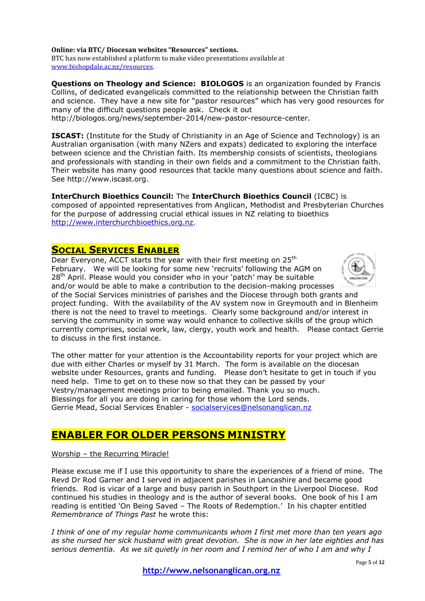**Online: via BTC/ Diocesan websites "Resources" sections.** BTC has now established a platform to make video presentations available at [www.bishopdale.ac.nz/resources.](http://www.bishopdale.ac.nz/resources) 

**Questions on Theology and Science: BIOLOGOS** is an organization founded by Francis Collins, of dedicated evangelicals committed to the relationship between the Christian faith and science. They have a new site for "pastor resources" which has very good resources for many of the difficult questions people ask. Check it out

http://biologos.org/news/september-2014/new-pastor-resource-center.

**ISCAST:** (Institute for the Study of Christianity in an Age of Science and Technology) is an Australian organisation (with many NZers and expats) dedicated to exploring the interface between science and the Christian faith. Its membership consists of scientists, theologians and professionals with standing in their own fields and a commitment to the Christian faith. Their website has many good resources that tackle many questions about science and faith. See http://www.iscast.org.

**InterChurch Bioethics Council:** The **InterChurch Bioethics Council** (ICBC) is composed of appointed representatives from Anglican, Methodist and Presbyterian Churches for the purpose of addressing crucial ethical issues in NZ relating to bioethics [http://www.interchurchbioethics.org.nz.](http://www.interchurchbioethics.org.nz/)

# **SOCIAL SERVICES ENABLER**

Dear Everyone, ACCT starts the year with their first meeting on 25<sup>th</sup> February. We will be looking for some new 'recruits' following the AGM on 28<sup>th</sup> April. Please would you consider who in your 'patch' may be suitable and/or would be able to make a contribution to the decision-making processes of the Social Services ministries of parishes and the Diocese through both grants and project funding. With the availability of the AV system now in Greymouth and in Blenheim there is not the need to travel to meetings. Clearly some background and/or interest in serving the community in some way would enhance to collective skills of the group which currently comprises, social work, law, clergy, youth work and health. Please contact Gerrie to discuss in the first instance.

The other matter for your attention is the Accountability reports for your project which are due with either Charles or myself by 31 March. The form is available on the diocesan website under Resources, grants and funding. Please don't hesitate to get in touch if you need help. Time to get on to these now so that they can be passed by your Vestry/management meetings prior to being emailed. Thank you so much. Blessings for all you are doing in caring for those whom the Lord sends. Gerrie Mead, Social Services Enabler - [socialservices@nelsonanglican.nz](mailto:socialservices@nelsonanglican.nz)

# **ENABLER FOR OLDER PERSONS MINISTRY**

Worship – the Recurring Miracle!

Please excuse me if I use this opportunity to share the experiences of a friend of mine. The Revd Dr Rod Garner and I served in adjacent parishes in Lancashire and became good friends. Rod is vicar of a large and busy parish in Southport in the Liverpool Diocese. Rod continued his studies in theology and is the author of several books. One book of his I am reading is entitled 'On Being Saved – The Roots of Redemption.' In his chapter entitled *Remembrance of Things Past* he wrote this:

*I think of one of my regular home communicants whom I first met more than ten years ago as she nursed her sick husband with great devotion. She is now in her late eighties and has serious dementia. As we sit quietly in her room and I remind her of who I am and why I* 

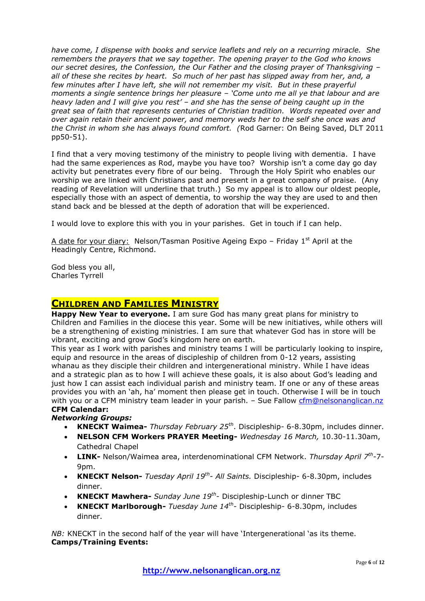*have come, I dispense with books and service leaflets and rely on a recurring miracle. She remembers the prayers that we say together. The opening prayer to the God who knows our secret desires, the Confession, the Our Father and the closing prayer of Thanksgiving – all of these she recites by heart. So much of her past has slipped away from her, and, a few minutes after I have left, she will not remember my visit. But in these prayerful moments a single sentence brings her pleasure – 'Come unto me all ye that labour and are heavy laden and I will give you rest' – and she has the sense of being caught up in the great sea of faith that represents centuries of Christian tradition. Words repeated over and over again retain their ancient power, and memory weds her to the self she once was and the Christ in whom she has always found comfort. (*Rod Garner: On Being Saved, DLT 2011 pp50-51).

I find that a very moving testimony of the ministry to people living with dementia. I have had the same experiences as Rod, maybe you have too? Worship isn't a come day go day activity but penetrates every fibre of our being. Through the Holy Spirit who enables our worship we are linked with Christians past and present in a great company of praise. (Any reading of Revelation will underline that truth.) So my appeal is to allow our oldest people, especially those with an aspect of dementia, to worship the way they are used to and then stand back and be blessed at the depth of adoration that will be experienced.

I would love to explore this with you in your parishes. Get in touch if I can help.

A date for your diary: Nelson/Tasman Positive Ageing Expo – Friday  $1<sup>st</sup>$  April at the Headingly Centre, Richmond.

God bless you all, Charles Tyrrell

# **CHILDREN AND FAMILIES MINISTRY**

**Happy New Year to everyone.** I am sure God has many great plans for ministry to Children and Families in the diocese this year. Some will be new initiatives, while others will be a strengthening of existing ministries. I am sure that whatever God has in store will be vibrant, exciting and grow God's kingdom here on earth.

This year as I work with parishes and ministry teams I will be particularly looking to inspire, equip and resource in the areas of discipleship of children from 0-12 years, assisting whanau as they disciple their children and intergenerational ministry. While I have ideas and a strategic plan as to how I will achieve these goals, it is also about God's leading and just how I can assist each individual parish and ministry team. If one or any of these areas provides you with an 'ah, ha' moment then please get in touch. Otherwise I will be in touch with you or a CFM ministry team leader in your parish. - Sue Fallow [cfm@nelsonanglican.nz](mailto:cfm@nelsonanglican.nz) **CFM Calendar:**

# *Networking Groups:*

- **KNECKT Waimea-** *Thursday February 25th*. Discipleship- 6-8.30pm, includes dinner.
- **NELSON CFM Workers PRAYER Meeting-** *Wednesday 16 March,* 10.30-11.30am, Cathedral Chapel
- **LINK-** Nelson/Waimea area, interdenominational CFM Network. *Thursday April 7th -*7- 9<sub>nm</sub>
- **KNECKT Nelson-** *Tuesday April 19th - All Saints.* Discipleship- 6-8.30pm, includes dinner.
- **KNECKT Mawhera-** *Sunday June 19<sup>th</sup>-* Discipleship-Lunch or dinner TBC
- **KNECKT Marlborough-** *Tuesday June 14th -* Discipleship- 6-8.30pm, includes dinner.

*NB:* KNECKT in the second half of the year will have 'Intergenerational 'as its theme. **Camps/Training Events:**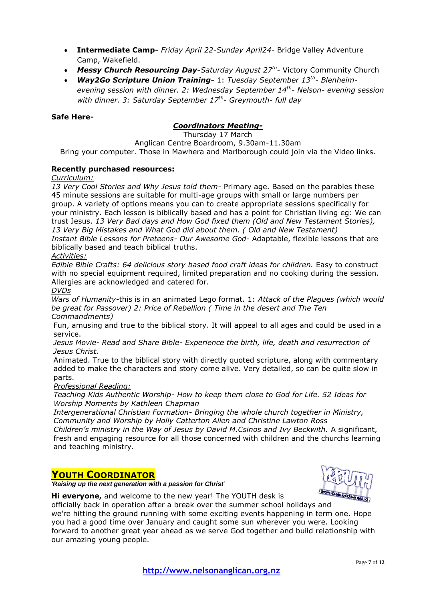- **Intermediate Camp-** *Friday April 22-Sunday April24-* Bridge Valley Adventure Camp, Wakefield.
- *Messy Church Resourcing Day-Saturday August 27th -* Victory Community Church
- *Way2Go Scripture Union Training-* 1: *Tuesday September 13th - Blenheimevening session with dinner. 2: Wednesday September 14th - Nelson- evening session with dinner. 3: Saturday September 17th - Greymouth- full day*

## **Safe Here-**

# *Coordinators Meeting***-**

Thursday 17 March

Anglican Centre Boardroom, 9.30am-11.30am Bring your computer. Those in Mawhera and Marlborough could join via the Video links.

# **Recently purchased resources:**

*Curriculum:*

*13 Very Cool Stories and Why Jesus told them-* Primary age. Based on the parables these 45 minute sessions are suitable for multi-age groups with small or large numbers per group. A variety of options means you can to create appropriate sessions specifically for your ministry. Each lesson is biblically based and has a point for Christian living eg: We can trust Jesus. *13 Very Bad days and How God fixed them (Old and New Testament Stories), 13 Very Big Mistakes and What God did about them. ( Old and New Testament) Instant Bible Lessons for Preteens- Our Awesome God-* Adaptable, flexible lessons that are biblically based and teach biblical truths.

*Activities:*

Edible Bible Crafts: 64 delicious story based food craft ideas for children. Easy to construct with no special equipment required, limited preparation and no cooking during the session. Allergies are acknowledged and catered for.

*DVDs*

*Wars of Humanity-*this is in an animated Lego format. 1: *Attack of the Plagues (which would be great for Passover) 2: Price of Rebellion ( Time in the desert and The Ten Commandments)*

Fun, amusing and true to the biblical story. It will appeal to all ages and could be used in a service.

*Jesus Movie- Read and Share Bible- Experience the birth, life, death and resurrection of Jesus Christ.*

Animated. True to the biblical story with directly quoted scripture, along with commentary added to make the characters and story come alive. Very detailed, so can be quite slow in parts.

### *Professional Reading:*

*Teaching Kids Authentic Worship- How to keep them close to God for Life. 52 Ideas for Worship Moments by Kathleen Chapman*

*Intergenerational Christian Formation- Bringing the whole church together in Ministry, Community and Worship by Holly Catterton Allen and Christine Lawton Ross*

*Children's ministry in the Way of Jesus by David M.Csinos and Ivy Beckwith.* A significant, fresh and engaging resource for all those concerned with children and the churchs learning and teaching ministry.

# **YOUTH COORDINATOR**



*'Raising up the next generation with a passion for Christ*'

**Hi everyone,** and welcome to the new year! The YOUTH desk is officially back in operation after a break over the summer school holidays and we're hitting the ground running with some exciting events happening in term one. Hope you had a good time over January and caught some sun wherever you were. Looking forward to another great year ahead as we serve God together and build relationship with our amazing young people.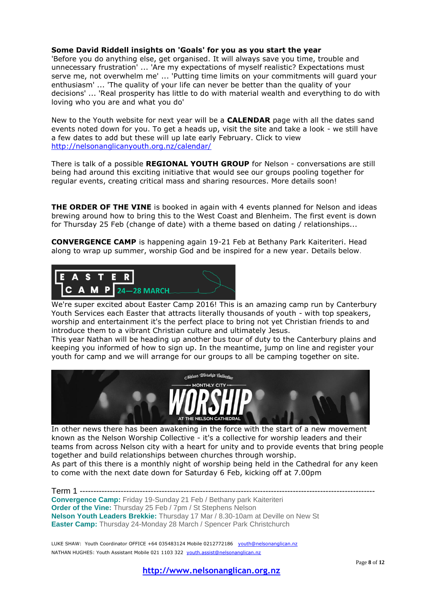### **Some David Riddell insights on 'Goals' for you as you start the year**

'Before you do anything else, get organised. It will always save you time, trouble and unnecessary frustration' ... 'Are my expectations of myself realistic? Expectations must serve me, not overwhelm me' ... 'Putting time limits on your commitments will guard your enthusiasm' ... 'The quality of your life can never be better than the quality of your decisions' ... 'Real prosperity has little to do with material wealth and everything to do with loving who you are and what you do'

New to the Youth website for next year will be a **CALENDAR** page with all the dates sand events noted down for you. To get a heads up, visit the site and take a look - we still have a few dates to add but these will up late early February. Click to view <http://nelsonanglicanyouth.org.nz/calendar/>

There is talk of a possible **REGIONAL YOUTH GROUP** for Nelson - conversations are still being had around this exciting initiative that would see our groups pooling together for regular events, creating critical mass and sharing resources. More details soon!

**THE ORDER OF THE VINE** is booked in again with 4 events planned for Nelson and ideas brewing around how to bring this to the West Coast and Blenheim. The first event is down for Thursday 25 Feb (change of date) with a theme based on dating / relationships...

**CONVERGENCE CAMP** is happening again 19-21 Feb at Bethany Park Kaiteriteri. Head along to wrap up summer, worship God and be inspired for a new year. Details below.



We're super excited about Easter Camp 2016! This is an amazing camp run by Canterbury Youth Services each Easter that attracts literally thousands of youth - with top speakers, worship and entertainment it's the perfect place to bring not yet Christian friends to and introduce them to a vibrant Christian culture and ultimately Jesus.

This year Nathan will be heading up another bus tour of duty to the Canterbury plains and keeping you informed of how to sign up. In the meantime, jump on line and register your youth for camp and we will arrange for our groups to all be camping together on site.



In other news there has been awakening in the force with the start of a new movement known as the Nelson Worship Collective - it's a collective for worship leaders and their teams from across Nelson city with a heart for unity and to provide events that bring people together and build relationships between churches through worship. As part of this there is a monthly night of worship being held in the Cathedral for any keen to come with the next date down for Saturday 6 Feb, kicking off at 7.00pm

Term 1 ------------------------------------------------------------------------------------------------------------ **Convergence Camp:** Friday 19-Sunday 21 Feb / Bethany park Kaiteriteri **Order of the Vine:** Thursday 25 Feb / 7pm / St Stephens Nelson **Nelson Youth Leaders Brekkie:** Thursday 17 Mar / 8.30-10am at Deville on New St **Easter Camp:** Thursday 24-Monday 28 March / Spencer Park Christchurch

LUKE SHAW: Youth Coordinator OFFICE +64 035483124 Mobile 0212772186 vouth@nelsonanglican.nz NATHAN HUGHES: Youth Assistant Mobile 021 1103 322 [youth.assist@nelsonanglican.nz](mailto:youth.assist@nelsonanglican.nz)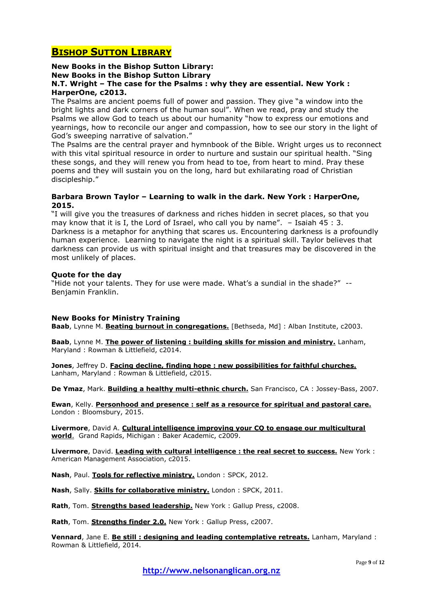# **BISHOP SUTTON LIBRARY**

## **New Books in the Bishop Sutton Library:**

**New Books in the Bishop Sutton Library**

# **N.T. Wright – The case for the Psalms : why they are essential. New York : HarperOne, c2013.**

The Psalms are ancient poems full of power and passion. They give "a window into the bright lights and dark corners of the human soul". When we read, pray and study the Psalms we allow God to teach us about our humanity "how to express our emotions and yearnings, how to reconcile our anger and compassion, how to see our story in the light of God's sweeping narrative of salvation."

The Psalms are the central prayer and hymnbook of the Bible. Wright urges us to reconnect with this vital spiritual resource in order to nurture and sustain our spiritual health. "Sing these songs, and they will renew you from head to toe, from heart to mind. Pray these poems and they will sustain you on the long, hard but exhilarating road of Christian discipleship."

### **Barbara Brown Taylor – Learning to walk in the dark. New York : HarperOne, 2015.**

"I will give you the treasures of darkness and riches hidden in secret places, so that you may know that it is I, the Lord of Israel, who call you by name". – Isaiah 45 : 3. Darkness is a metaphor for anything that scares us. Encountering darkness is a profoundly human experience. Learning to navigate the night is a spiritual skill. Taylor believes that darkness can provide us with spiritual insight and that treasures may be discovered in the most unlikely of places.

## **Quote for the day**

"Hide not your talents. They for use were made. What's a sundial in the shade?" -- Benjamin Franklin.

### **New Books for Ministry Training**

**Baab**, Lynne M. **Beating burnout in congregations.** [Bethseda, Md] : Alban Institute, c2003.

**Baab**, Lynne M. **The power of listening : building skills for mission and ministry.** Lanham, Maryland : Rowman & Littlefield, c2014.

**Jones**, Jeffrey D. **Facing decline, finding hope : new possibilities for faithful churches.** Lanham, Maryland : Rowman & Littlefield, c2015.

**De Ymaz**, Mark. **Building a healthy multi-ethnic church.** San Francisco, CA : Jossey-Bass, 2007.

**Ewan**, Kelly. **Personhood and presence : self as a resource for spiritual and pastoral care.** London : Bloomsbury, 2015.

**Livermore**, David A. **Cultural intelligence improving your CQ to engage our multicultural world**. Grand Rapids, Michigan : Baker Academic, c2009.

**Livermore**, David. **Leading with cultural intelligence : the real secret to success.** New York : American Management Association, c2015.

**Nash**, Paul. **Tools for reflective ministry.** London : SPCK, 2012.

**Nash**, Sally. **Skills for collaborative ministry.** London : SPCK, 2011.

**Rath**, Tom. **Strengths based leadership.** New York : Gallup Press, c2008.

**Rath**, Tom. **Strengths finder 2.0.** New York : Gallup Press, c2007.

**Vennard**, Jane E. **Be still : designing and leading contemplative retreats.** Lanham, Maryland : Rowman & Littlefield, 2014.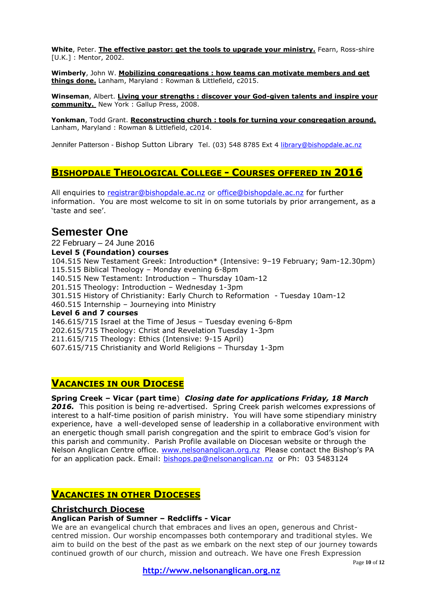**White**, Peter. **The effective pastor: get the tools to upgrade your ministry.** Fearn, Ross-shire [U.K.] : Mentor, 2002.

**Wimberly**, John W. **Mobilizing congregations : how teams can motivate members and get things done.** Lanham, Maryland : Rowman & Littlefield, c2015.

**Winseman**, Albert. **Living your strengths : discover your God-given talents and inspire your community.** New York : Gallup Press, 2008.

**Yonkman**, Todd Grant. **Reconstructing church : tools for turning your congregation around.** Lanham, Maryland : Rowman & Littlefield, c2014.

Jennifer Patterson - Bishop Sutton Library Tel. (03) 548 8785 Ext 4 [library@bishopdale.ac.nz](mailto:library@bishopdale.ac.nz)

# **BISHOPDALE THEOLOGICAL COLLEGE - COURSES OFFERED IN 2016**

All enquiries to [registrar@bishopdale.ac.nz](mailto:registrar@bishopdale.ac.nz) or [office@bishopdale.ac.nz](mailto:office@bishopdale.ac.nz) for further information. You are most welcome to sit in on some tutorials by prior arrangement, as a 'taste and see'.

# **Semester One**

22 February – 24 June 2016 **Level 5 (Foundation) courses**  104.515 New Testament Greek: Introduction\* (Intensive: 9–19 February; 9am-12.30pm) 115.515 Biblical Theology – Monday evening 6-8pm 140.515 New Testament: Introduction – Thursday 10am-12 201.515 Theology: Introduction – Wednesday 1-3pm 301.515 History of Christianity: Early Church to Reformation - Tuesday 10am-12 460.515 Internship – Journeying into Ministry **Level 6 and 7 courses**  146.615/715 Israel at the Time of Jesus – Tuesday evening 6-8pm 202.615/715 Theology: Christ and Revelation Tuesday 1-3pm 211.615/715 Theology: Ethics (Intensive: 9-15 April) 607.615/715 Christianity and World Religions – Thursday 1-3pm

# **VACANCIES IN OUR DIOCESE**

# **Spring Creek – Vicar (part time**) *Closing date for applications Friday, 18 March*

*2016.* This position is being re-advertised. Spring Creek parish welcomes expressions of interest to a half-time position of parish ministry. You will have some stipendiary ministry experience, have a well-developed sense of leadership in a collaborative environment with an energetic though small parish congregation and the spirit to embrace God's vision for this parish and community. Parish Profile available on Diocesan website or through the Nelson Anglican Centre office. [www.nelsonanglican.org.nz](http://www.nelsonanglican.org.nz/) Please contact the Bishop's PA for an application pack. Email: [bishops.pa@nelsonanglican.nz](mailto:bishops.pa@nelsonanglican.nz) or Ph: 03 5483124

# **VACANCIES IN OTHER DIOCESES**

# **Christchurch Diocese**

### **Anglican Parish of Sumner – Redcliffs - Vicar**

We are an evangelical church that embraces and lives an open, generous and Christcentred mission. Our worship encompasses both contemporary and traditional styles. We aim to build on the best of the past as we embark on the next step of our journey towards continued growth of our church, mission and outreach. We have one Fresh Expression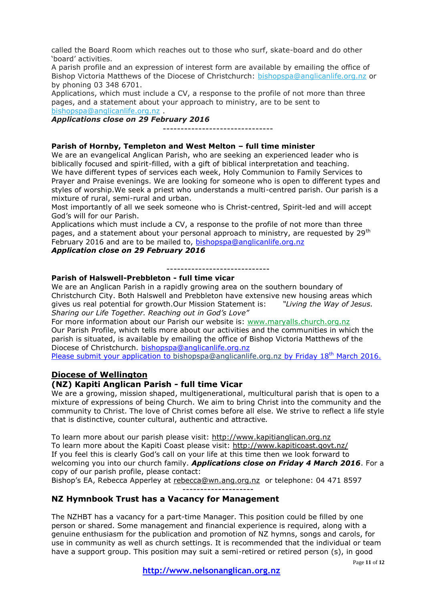called the Board Room which reaches out to those who surf, skate-board and do other 'board' activities.

A parish profile and an expression of interest form are available by emailing the office of Bishop Victoria Matthews of the Diocese of Christchurch: [bishopspa@anglicanlife.org.nz](mailto:bishopspa@anglicanlife.org.nz) or by phoning 03 348 6701.

Applications, which must include a CV, a response to the profile of not more than three pages, and a statement about your approach to ministry, are to be sent to [bishopspa@anglicanlife.org.nz](mailto:bishopspa@anglicanlife.org.nz) .

*Applications close on 29 February 2016*

-------------------------------

#### **Parish of Hornby, Templeton and West Melton – full time minister**

We are an evangelical Anglican Parish, who are seeking an experienced leader who is biblically focused and spirit-filled, with a gift of biblical interpretation and teaching. We have different types of services each week, Holy Communion to Family Services to Prayer and Praise evenings. We are looking for someone who is open to different types and styles of worship.We seek a priest who understands a multi-centred parish. Our parish is a mixture of rural, semi-rural and urban.

Most importantly of all we seek someone who is Christ-centred, Spirit-led and will accept God's will for our Parish.

Applications which must include a CV, a response to the profile of not more than three pages, and a statement about your personal approach to ministry, are requested by 29<sup>th</sup> February 2016 and are to be mailed to, [bishopspa@anglicanlife.org.nz](mailto:bishopspa@anglicanlife.org.nz) *Application close on 29 February 2016*

-----------------------------

#### **Parish of Halswell-Prebbleton - full time vicar**

We are an Anglican Parish in a rapidly growing area on the southern boundary of Christchurch City. Both Halswell and Prebbleton have extensive new housing areas which gives us real potential for growth.Our Mission Statement is: *"Living the Way of Jesus. Sharing our Life Together. Reaching out in God's Love"*

For more information about our Parish our website is: www.maryalls.church.org.nz Our Parish Profile, which tells more about our activities and the communities in which the parish is situated, is available by emailing the office of Bishop Victoria Matthews of the Diocese of Christchurch. [bishopspa@anglicanlife.org.nz](mailto:bishopspa@anglicanlife.org.nz)

Please submit your application to [bishopspa@anglicanlife.org.nz](mailto:bishopspa@anglicanlife.org.nz) by Friday  $18<sup>th</sup>$  March 2016.

# **Diocese of Wellington**

### **(NZ) Kapiti Anglican Parish - full time Vicar**

We are a growing, mission shaped, multigenerational, multicultural parish that is open to a mixture of expressions of being Church. We aim to bring Christ into the community and the community to Christ. The love of Christ comes before all else. We strive to reflect a life style that is distinctive, counter cultural, authentic and attractive*.*

To learn more about our parish please visit: [http://www.kapitianglican.org.nz](http://anglicanlife.us11.list-manage.com/track/click?u=50113b987267c95cf5c9d5b4f&id=71825283d9&e=0b60e74cba) To learn more about the Kapiti Coast please visit: [http://www.kapiticoast.govt.nz/](http://anglicanlife.us11.list-manage.com/track/click?u=50113b987267c95cf5c9d5b4f&id=4d89e5cc29&e=0b60e74cba) If you feel this is clearly God's call on your life at this time then we look forward to welcoming you into our church family. *Applications close on Friday 4 March 2016*. For a copy of our parish profile, please contact:

Bishop's EA, Rebecca Apperley at [rebecca@wn.ang.org.nz](mailto:rebecca@wn.ang.org.nz) or telephone: 04 471 8597

**NZ Hymnbook Trust has a Vacancy for Management**

The NZHBT has a vacancy for a part-time Manager. This position could be filled by one person or shared. Some management and financial experience is required, along with a genuine enthusiasm for the publication and promotion of NZ hymns, songs and carols, for use in community as well as church settings. It is recommended that the individual or team have a support group. This position may suit a semi-retired or retired person (s), in good